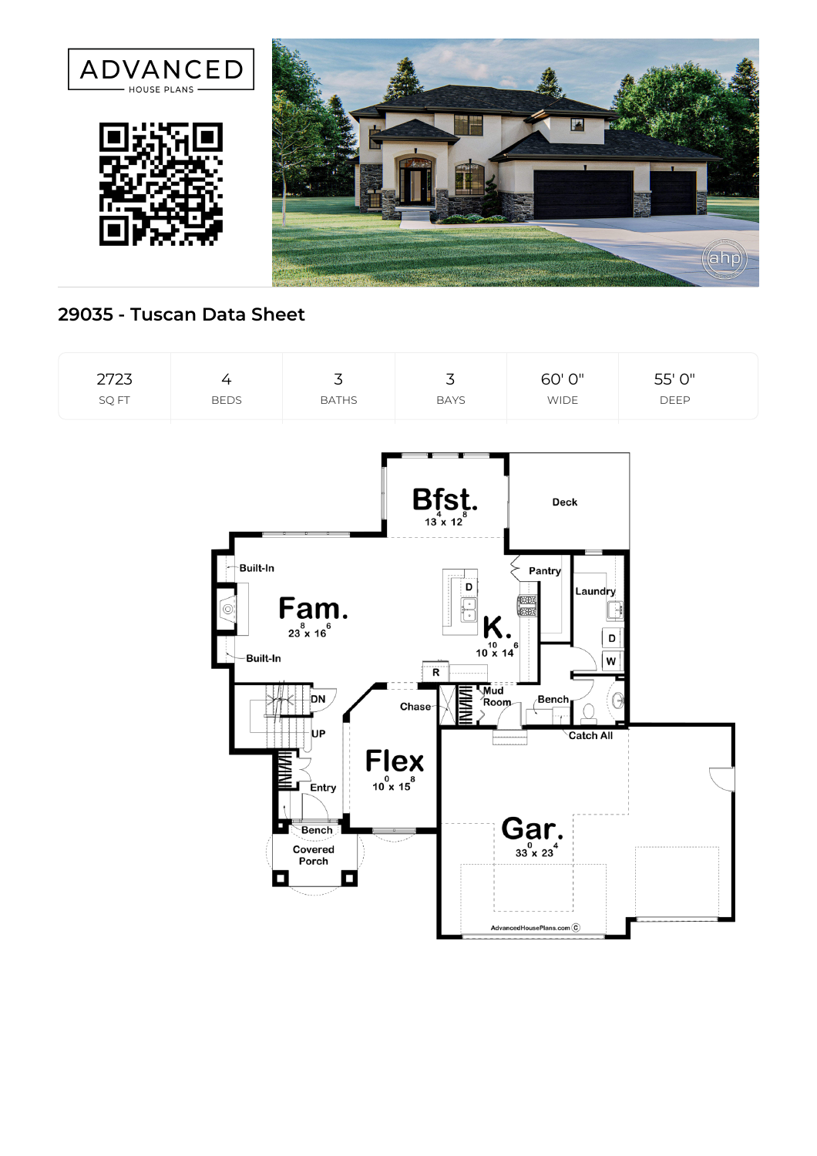





## **29035 - Tuscan Data Sheet**

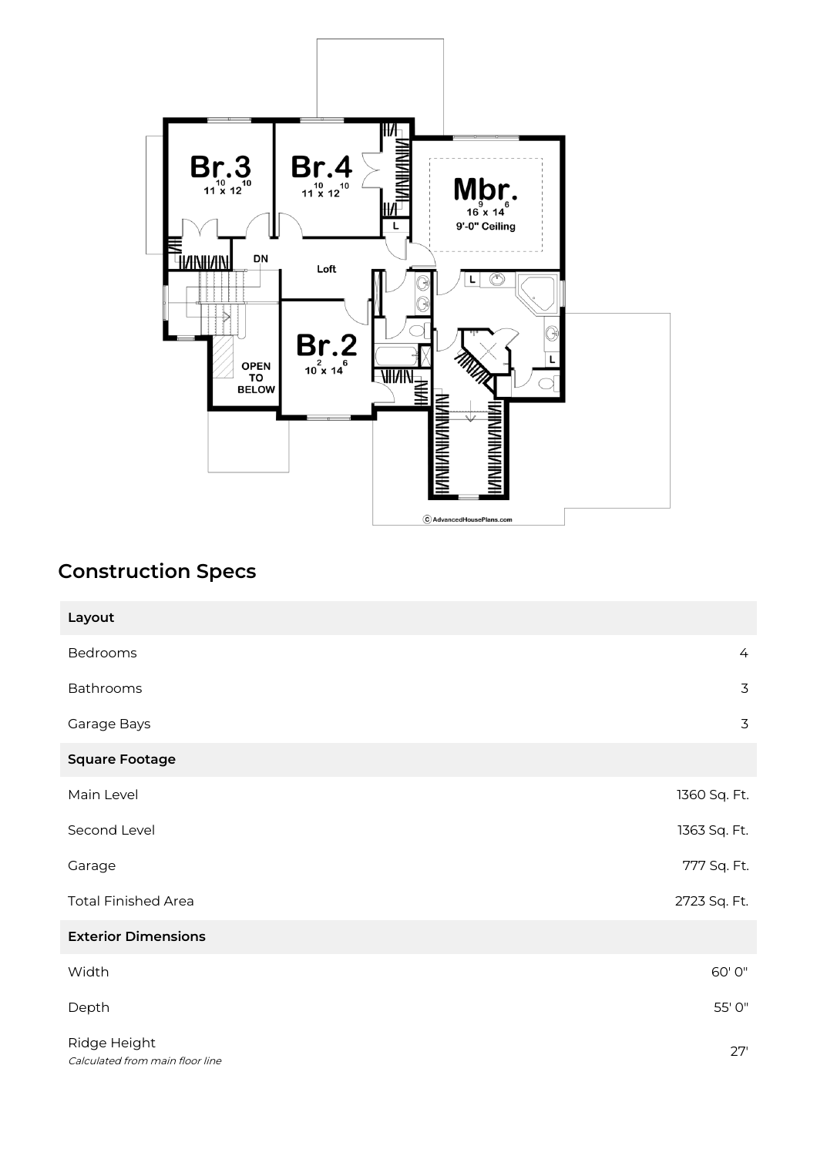

## **Construction Specs**

| Layout                                          |                |
|-------------------------------------------------|----------------|
| Bedrooms                                        | $\overline{4}$ |
| Bathrooms                                       | $\overline{3}$ |
| Garage Bays                                     | 3              |
| <b>Square Footage</b>                           |                |
| Main Level                                      | 1360 Sq. Ft.   |
| Second Level                                    | 1363 Sq. Ft.   |
| Garage                                          | 777 Sq. Ft.    |
| <b>Total Finished Area</b>                      | 2723 Sq. Ft.   |
| <b>Exterior Dimensions</b>                      |                |
| Width                                           | 60'0"          |
| Depth                                           | 55' 0"         |
| Ridge Height<br>Calculated from main floor line | 27'            |